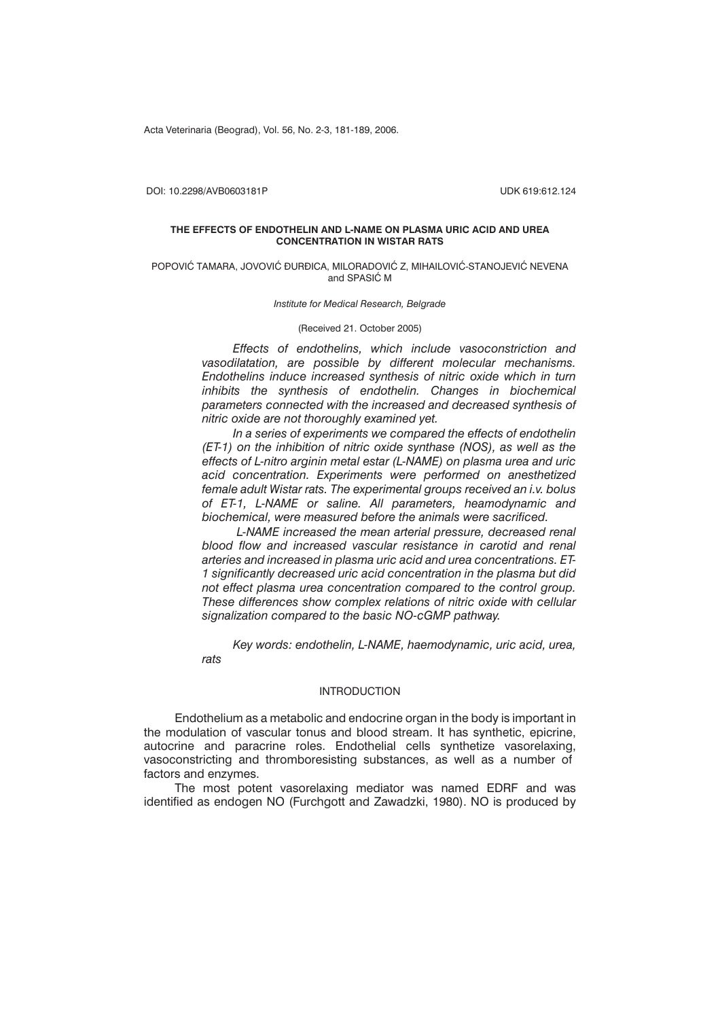Acta Veterinaria (Beograd), Vol. 56, No. 2-3, 181-189, 2006.

DOI: 10.2298/AVB0603181P UDK 619:612.124

### **THE EFFECTS OF ENDOTHELIN AND L-NAME ON PLASMA URIC ACID AND UREA CONCENTRATION IN WISTAR RATS**

### POPOVIĆ TAMARA, JOVOVIĆ ĐURĐICA, MILORADOVIĆ Z, MIHAILOVIĆ-STANOJEVIĆ NEVENA and SPASIC M

*Institute for Medical Research, Belgrade*

(Received 21. October 2005)

*Effects of endothelins, which include vasoconstriction and vasodilatation, are possible by different molecular mechanisms. Endothelins induce increased synthesis of nitric oxide which in turn inhibits the synthesis of endothelin. Changes in biochemical parameters connected with the increased and decreased synthesis of nitric oxide are not thoroughly examined yet.*

*In a series of experiments we compared the effects of endothelin (ET-1) on the inhibition of nitric oxide synthase (NOS), as well as the effects of L-nitro arginin metal estar (L-NAME) on plasma urea and uric acid concentration. Experiments were performed on anesthetized female adult Wistar rats. The experimental groups received an i.v. bolus of ET-1, L-NAME or saline. All parameters, heamodynamic and biochemical, were measured before the animals were sacrificed.*

*L-NAME increased the mean arterial pressure, decreased renal blood flow and increased vascular resistance in carotid and renal arteries and increased in plasma uric acid and urea concentrations. ET-1 significantly decreased uric acid concentration in the plasma but did not effect plasma urea concentration compared to the control group. These differences show complex relations of nitric oxide with cellular signalization compared to the basic NO-cGMP pathway.*

*Key words: endothelin, L-NAME, haemodynamic, uric acid, urea, rats*

# INTRODUCTION

Endothelium as a metabolic and endocrine organ in the body is important in the modulation of vascular tonus and blood stream. It has synthetic, epicrine, autocrine and paracrine roles. Endothelial cells synthetize vasorelaxing, vasoconstricting and thromboresisting substances, as well as a number of factors and enzymes.

The most potent vasorelaxing mediator was named EDRF and was identified as endogen NO (Furchgott and Zawadzki, 1980). NO is produced by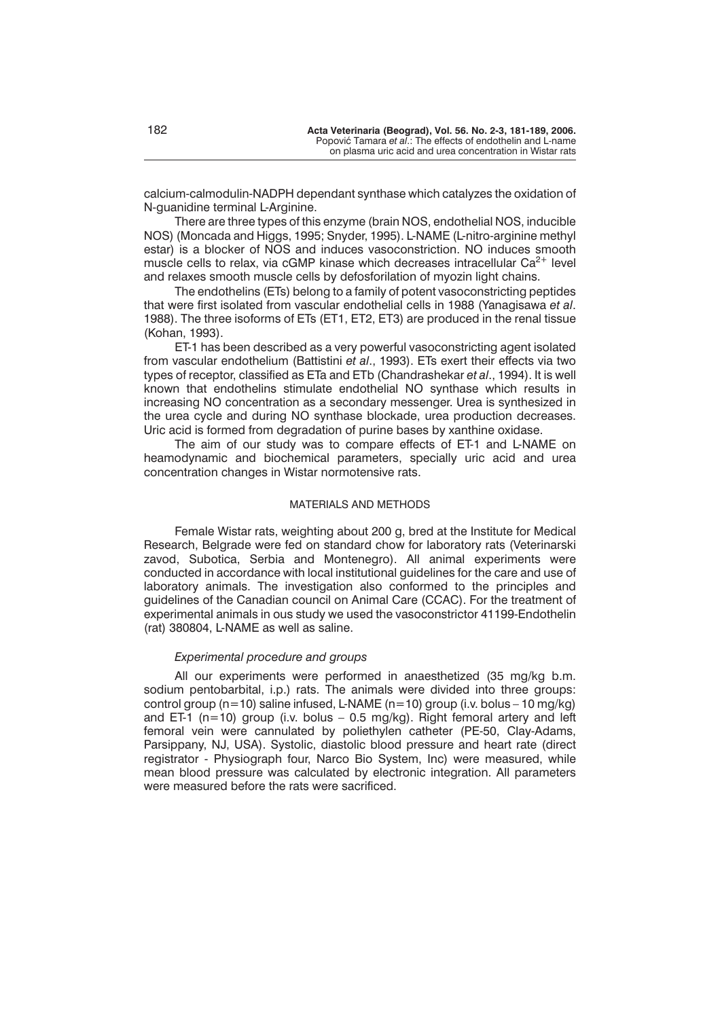calcium-calmodulin-NADPH dependant synthase which catalyzes the oxidation of N-guanidine terminal L-Arginine.

There are three types of this enzyme (brain NOS, endothelial NOS, inducible NOS) (Moncada and Higgs, 1995; Snyder, 1995). L-NAME (L-nitro-arginine methyl estar) is a blocker of NOS and induces vasoconstriction. NO induces smooth muscle cells to relax, via cGMP kinase which decreases intracellular  $Ca^{2+}$  level and relaxes smooth muscle cells by defosforilation of myozin light chains.

The endothelins (ETs) belong to a family of potent vasoconstricting peptides that were first isolated from vascular endothelial cells in 1988 (Yanagisawa *et al*. 1988). The three isoforms of ETs (ET1, ET2, ET3) are produced in the renal tissue (Kohan, 1993).

ET-1 has been described as a very powerful vasoconstricting agent isolated from vascular endothelium (Battistini *et al*., 1993). ETs exert their effects via two types of receptor, classified as ETa and ETb (Chandrashekar *et al*., 1994). It is well known that endothelins stimulate endothelial NO synthase which results in increasing NO concentration as a secondary messenger. Urea is synthesized in the urea cycle and during NO synthase blockade, urea production decreases. Uric acid is formed from degradation of purine bases by xanthine oxidase.

The aim of our study was to compare effects of ET-1 and L-NAME on heamodynamic and biochemical parameters, specially uric acid and urea concentration changes in Wistar normotensive rats.

# MATERIALS AND METHODS

Female Wistar rats, weighting about 200 g, bred at the Institute for Medical Research, Belgrade were fed on standard chow for laboratory rats (Veterinarski zavod, Subotica, Serbia and Montenegro). All animal experiments were conducted in accordance with local institutional guidelines for the care and use of laboratory animals. The investigation also conformed to the principles and guidelines of the Canadian council on Animal Care (CCAC). For the treatment of experimental animals in ous study we used the vasoconstrictor 41199-Endothelin (rat) 380804, L-NAME as well as saline.

# *Experimental procedure and groups*

All our experiments were performed in anaesthetized (35 mg/kg b.m. sodium pentobarbital, i.p.) rats. The animals were divided into three groups: control group (n=10) saline infused, L-NAME (n=10) group (i.v. bolus – 10 mg/kg) and ET-1 ( $n=10$ ) group (i.v. bolus – 0.5 mg/kg). Right femoral artery and left femoral vein were cannulated by poliethylen catheter (PE-50, Clay-Adams, Parsippany, NJ, USA). Systolic, diastolic blood pressure and heart rate (direct registrator - Physiograph four, Narco Bio System, Inc) were measured, while mean blood pressure was calculated by electronic integration. All parameters were measured before the rats were sacrificed.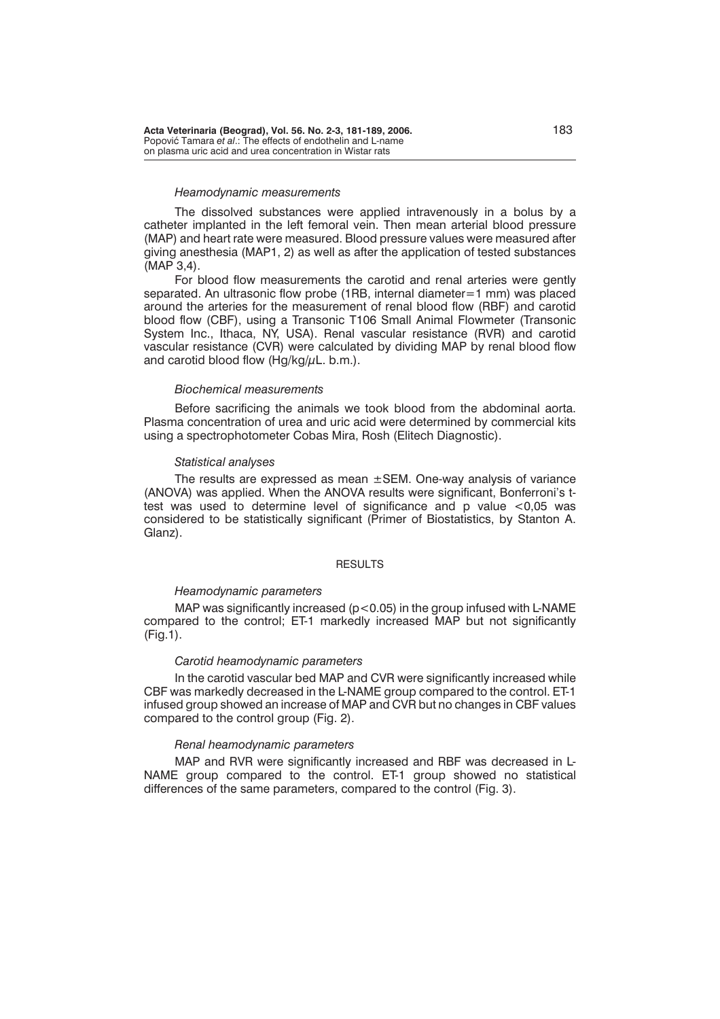**Acta Veterinaria (Beograd), Vol. 56. No. 2-3, 181-189, 2006.** 183 Popović Tamara *et al.*: The effects of endothelin and L-name on plasma uric acid and urea concentration in Wistar rats

#### *Heamodynamic measurements*

The dissolved substances were applied intravenously in a bolus by a catheter implanted in the left femoral vein. Then mean arterial blood pressure (MAP) and heart rate were measured. Blood pressure values were measured after giving anesthesia (MAP1, 2) as well as after the application of tested substances (MAP 3,4).

For blood flow measurements the carotid and renal arteries were gently separated. An ultrasonic flow probe (1RB, internal diameter=1 mm) was placed around the arteries for the measurement of renal blood flow (RBF) and carotid blood flow (CBF), using a Transonic T106 Small Animal Flowmeter (Transonic System Inc., Ithaca, NY, USA). Renal vascular resistance (RVR) and carotid vascular resistance (CVR) were calculated by dividing MAP by renal blood flow and carotid blood flow  $(Hq/kq/\mu L. b.m.).$ 

### *Biochemical measurements*

Before sacrificing the animals we took blood from the abdominal aorta. Plasma concentration of urea and uric acid were determined by commercial kits using a spectrophotometer Cobas Mira, Rosh (Elitech Diagnostic).

#### *Statistical analyses*

The results are expressed as mean  $\pm$ SEM. One-way analysis of variance (ANOVA) was applied. When the ANOVA results were significant, Bonferroni's ttest was used to determine level of significance and p value <0,05 was considered to be statistically significant (Primer of Biostatistics, by Stanton A. Glanz).

### RESULTS

## *Heamodynamic parameters*

MAP was significantly increased ( $p$ <0.05) in the group infused with L-NAME compared to the control; ET-1 markedly increased MAP but not significantly (Fig.1).

## *Carotid heamodynamic parameters*

In the carotid vascular bed MAP and CVR were significantly increased while CBF was markedly decreased in the L-NAME group compared to the control. ET-1 infused group showed an increase of MAP and CVR but no changes in CBF values compared to the control group (Fig. 2).

## *Renal heamodynamic parameters*

MAP and RVR were significantly increased and RBF was decreased in L-NAME group compared to the control. ET-1 group showed no statistical differences of the same parameters, compared to the control (Fig. 3).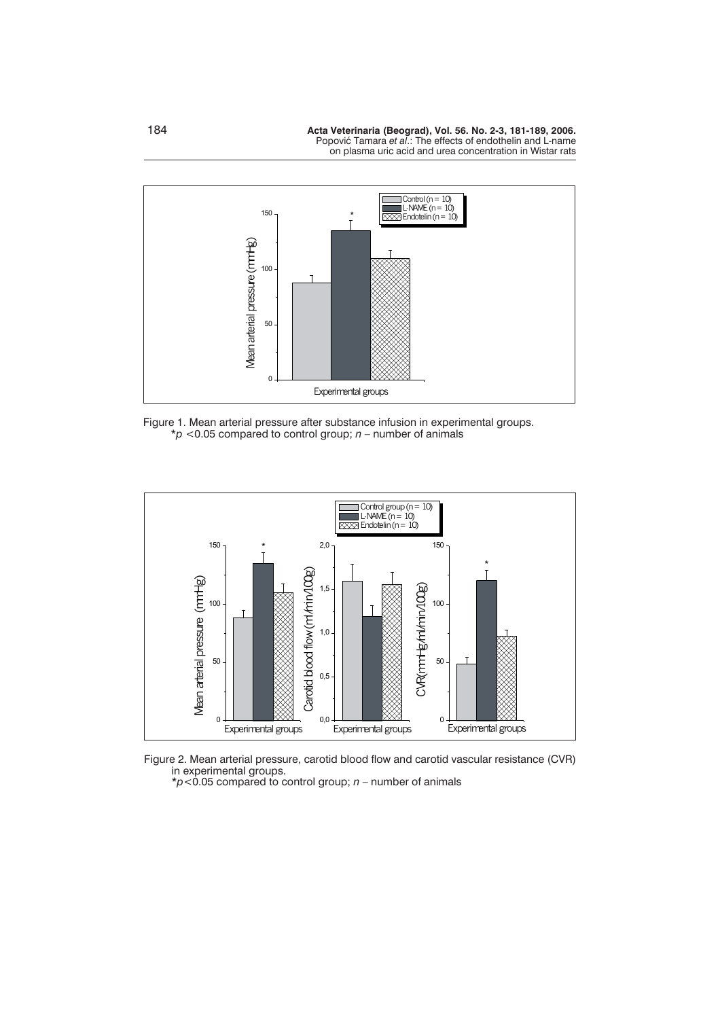

Figure 1. Mean arterial pressure after substance infusion in experimental groups. \**p <*0.05 compared to control group; *n* – number of animals





\**p<*0.05 compared to control group; *n* – number of animals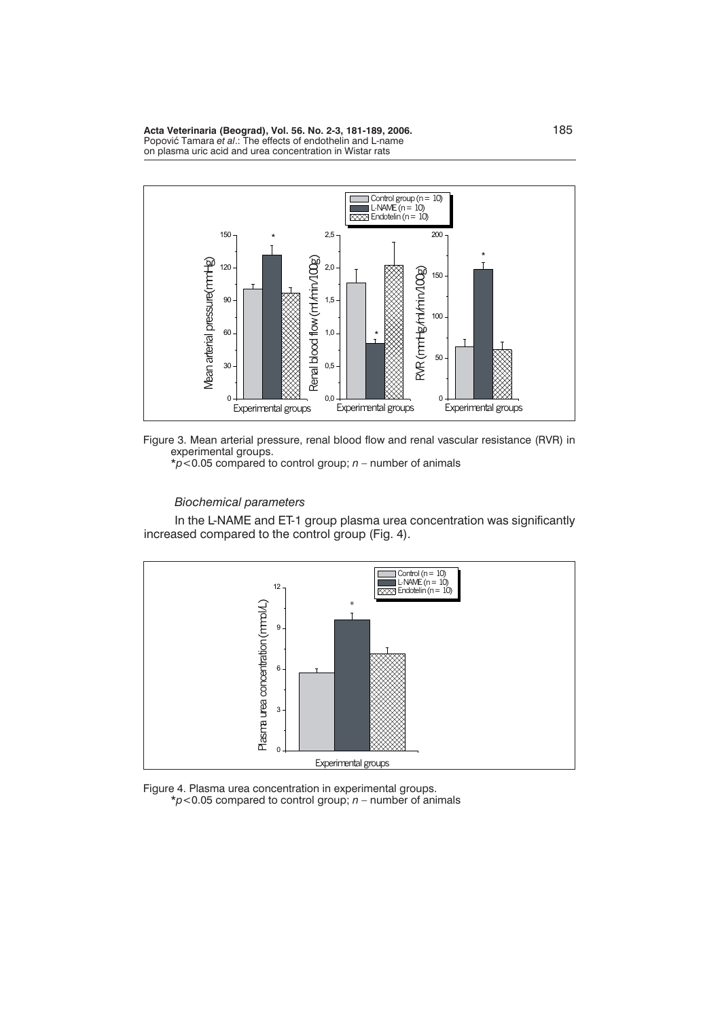**Acta Veterinaria (Beograd), Vol. 56. No. 2-3, 181-189, 2006.** 185 Popović Tamara *et al.*: The effects of endothelin and L-name on plasma uric acid and urea concentration in Wistar rats





\**p*<0.05 compared to control group; *n* – number of animals

# *Biochemical parameters*

In the L-NAME and ET-1 group plasma urea concentration was significantly increased compared to the control group (Fig. 4).



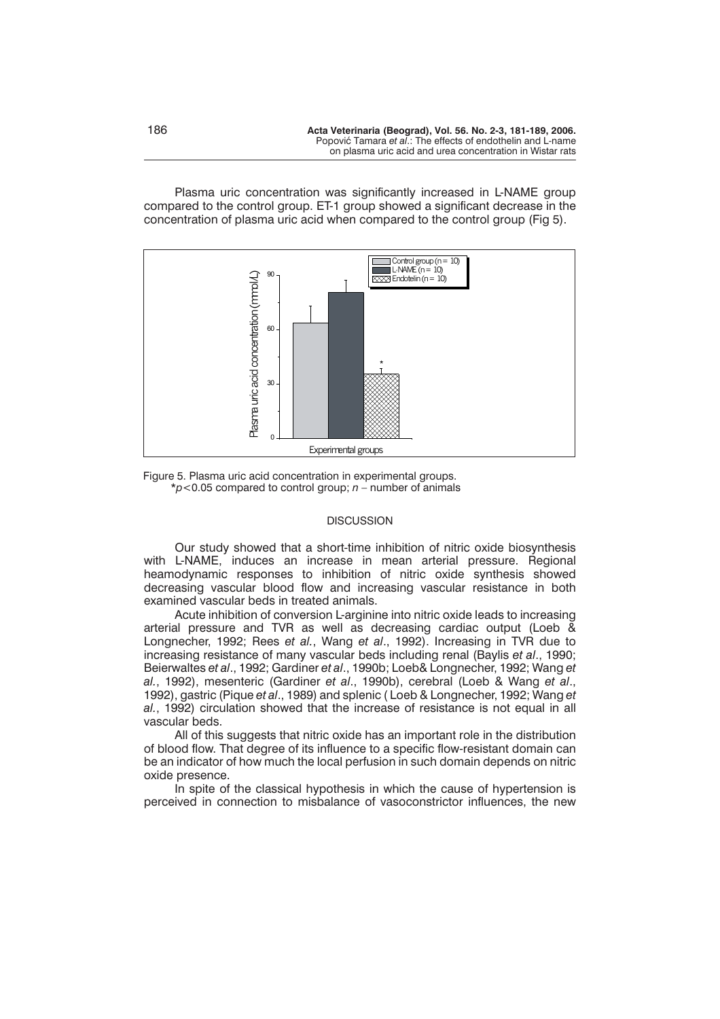Plasma uric concentration was significantly increased in L-NAME group compared to the control group. ET-1 group showed a significant decrease in the concentration of plasma uric acid when compared to the control group (Fig 5).



Figure 5. Plasma uric acid concentration in experimental groups. \**p*<0.05 compared to control group; *n* – number of animals

#### **DISCUSSION**

Our study showed that a short-time inhibition of nitric oxide biosynthesis with L-NAME, induces an increase in mean arterial pressure. Regional heamodynamic responses to inhibition of nitric oxide synthesis showed decreasing vascular blood flow and increasing vascular resistance in both examined vascular beds in treated animals.

Acute inhibition of conversion L-arginine into nitric oxide leads to increasing arterial pressure and TVR as well as decreasing cardiac output (Loeb & Longnecher, 1992; Rees *et al.*, Wang *et al*., 1992). Increasing in TVR due to increasing resistance of many vascular beds including renal (Baylis *et al*., 1990; Beierwaltes *et al*., 1992; Gardiner *et al*., 1990b; Loeb& Longnecher, 1992; Wang *et al.*, 1992), mesenteric (Gardiner *et al*., 1990b), cerebral (Loeb & Wang *et al*., 1992), gastric (Pique *et al*., 1989) and splenic ( Loeb & Longnecher, 1992; Wang *et al.*, 1992) circulation showed that the increase of resistance is not equal in all vascular beds.

All of this suggests that nitric oxide has an important role in the distribution of blood flow. That degree of its influence to a specific flow-resistant domain can be an indicator of how much the local perfusion in such domain depends on nitric oxide presence.

In spite of the classical hypothesis in which the cause of hypertension is perceived in connection to misbalance of vasoconstrictor influences, the new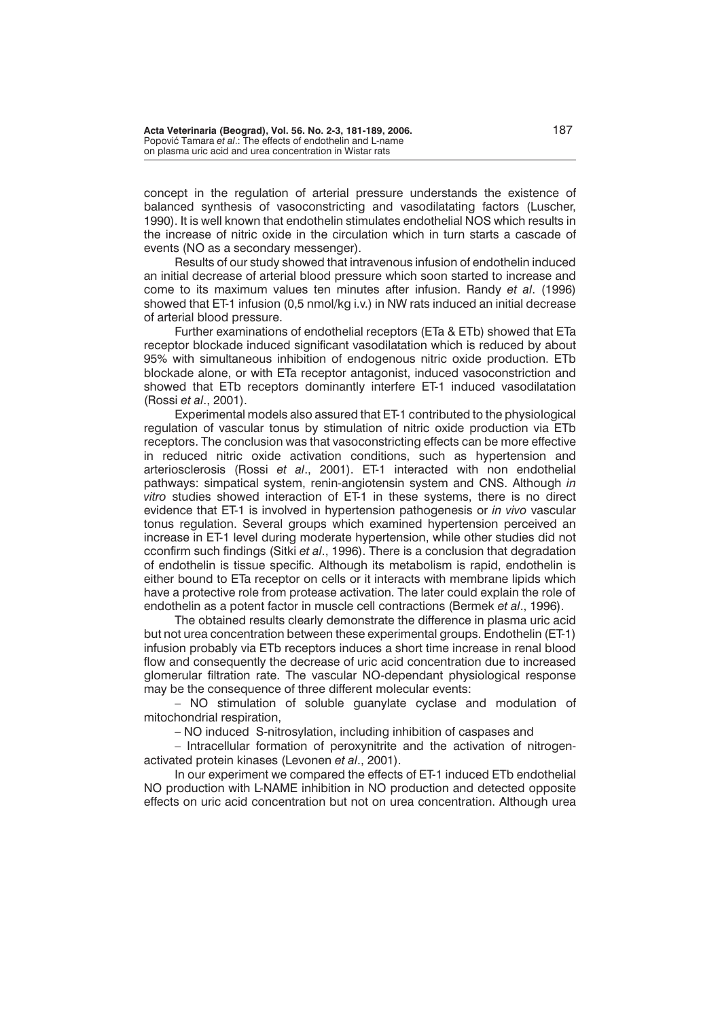concept in the regulation of arterial pressure understands the existence of balanced synthesis of vasoconstricting and vasodilatating factors (Luscher, 1990). It is well known that endothelin stimulates endothelial NOS which results in the increase of nitric oxide in the circulation which in turn starts a cascade of events (NO as a secondary messenger).

Results of our study showed that intravenous infusion of endothelin induced an initial decrease of arterial blood pressure which soon started to increase and come to its maximum values ten minutes after infusion. Randy *et al*. (1996) showed that ET-1 infusion (0,5 nmol/kg i.v.) in NW rats induced an initial decrease of arterial blood pressure.

Further examinations of endothelial receptors (ETa & ETb) showed that ETa receptor blockade induced significant vasodilatation which is reduced by about 95% with simultaneous inhibition of endogenous nitric oxide production. ETb blockade alone, or with ETa receptor antagonist, induced vasoconstriction and showed that ETb receptors dominantly interfere ET-1 induced vasodilatation (Rossi *et al*., 2001).

Experimental models also assured that ET-1 contributed to the physiological regulation of vascular tonus by stimulation of nitric oxide production via ETb receptors. The conclusion was that vasoconstricting effects can be more effective in reduced nitric oxide activation conditions, such as hypertension and arteriosclerosis (Rossi *et al*., 2001). ET-1 interacted with non endothelial pathways: simpatical system, renin-angiotensin system and CNS. Although *in vitro* studies showed interaction of ET-1 in these systems, there is no direct evidence that ET-1 is involved in hypertension pathogenesis or *in vivo* vascular tonus regulation. Several groups which examined hypertension perceived an increase in ET-1 level during moderate hypertension, while other studies did not cconfirm such findings (Sitki *et al*., 1996). There is a conclusion that degradation of endothelin is tissue specific. Although its metabolism is rapid, endothelin is either bound to ETa receptor on cells or it interacts with membrane lipids which have a protective role from protease activation. The later could explain the role of endothelin as a potent factor in muscle cell contractions (Bermek *et al*., 1996).

The obtained results clearly demonstrate the difference in plasma uric acid but not urea concentration between these experimental groups. Endothelin (ET-1) infusion probably via ETb receptors induces a short time increase in renal blood flow and consequently the decrease of uric acid concentration due to increased glomerular filtration rate. The vascular NO-dependant physiological response may be the consequence of three different molecular events:

– NO stimulation of soluble guanylate cyclase and modulation of mitochondrial respiration,

– NO induced S-nitrosylation, including inhibition of caspases and

– Intracellular formation of peroxynitrite and the activation of nitrogenactivated protein kinases (Levonen *et al*., 2001).

In our experiment we compared the effects of ET-1 induced ETb endothelial NO production with L-NAME inhibition in NO production and detected opposite effects on uric acid concentration but not on urea concentration. Although urea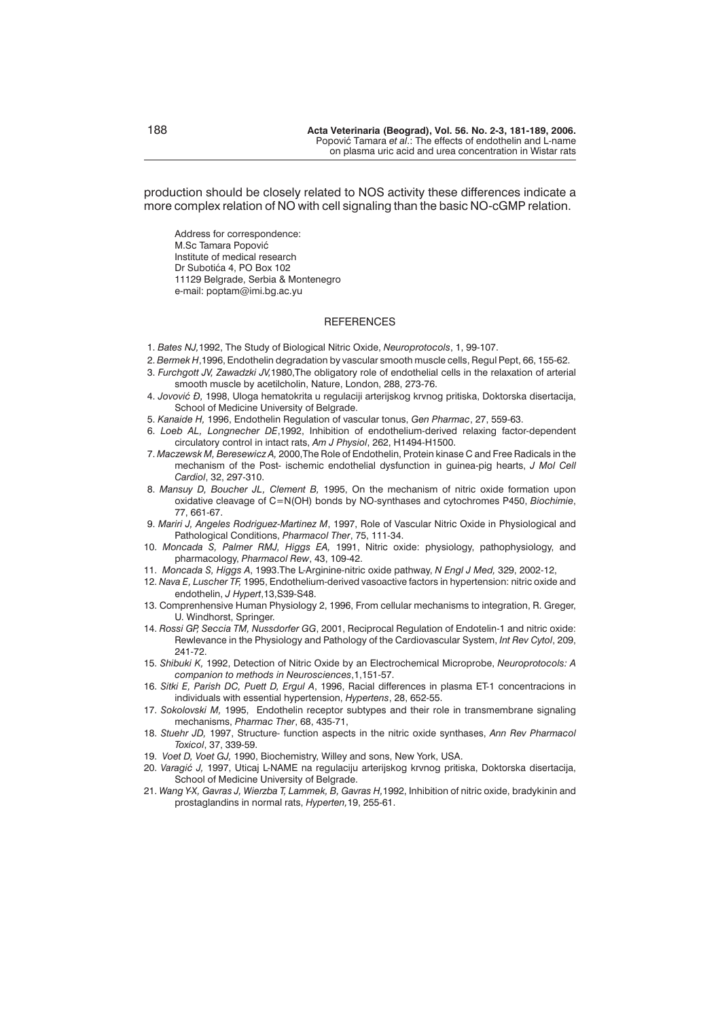production should be closely related to NOS activity these differences indicate a more complex relation of NO with cell signaling than the basic NO-cGMP relation.

Address for correspondence: M.Sc Tamara Popović Institute of medical research Dr Subotića 4, PO Box 102 11129 Belgrade, Serbia & Montenegro e-mail: poptam@imi.bg.ac.yu

#### **REFERENCES**

- 1. *Bates NJ,*1992, The Study of Biological Nitric Oxide, *Neuroprotocols*, 1, 99-107.
- 2. *Bermek H*,1996, Endothelin degradation by vascular smooth muscle cells, Regul Pept, 66, 155-62.
- 3. *Furchgott JV, Zawadzki JV,*1980,The obligatory role of endothelial cells in the relaxation of arterial smooth muscle by acetilcholin, Nature, London, 288, 273-76.
- 4. *Jovović Đ*, 1998, Uloga hematokrita u regulaciji arterijskog krvnog pritiska, Doktorska disertacija, School of Medicine University of Belgrade.
- 5. *Kanaide H,* 1996, Endothelin Regulation of vascular tonus, *Gen Pharmac*, 27, 559-63.
- 6. *Loeb AL, Longnecher DE*,1992, Inhibition of endothelium-derived relaxing factor-dependent circulatory control in intact rats, *Am J Physiol*, 262, H1494-H1500.
- 7. *Maczewsk M, Beresewicz A,* 2000,The Role of Endothelin, Protein kinase C and Free Radicals in the mechanism of the Post- ischemic endothelial dysfunction in guinea-pig hearts, *J Mol Cell Cardiol*, 32, 297-310.
- 8. *Mansuy D, Boucher JL, Clement B,* 1995, On the mechanism of nitric oxide formation upon oxidative cleavage of C=N(OH) bonds by NO-synthases and cytochromes P450, *Biochimie*, 77, 661-67.
- 9. *Mariri J, Angeles Rodriguez-Martinez M*, 1997, Role of Vascular Nitric Oxide in Physiological and Pathological Conditions, *Pharmacol Ther*, 75, 111-34.
- 10. *Moncada S, Palmer RMJ, Higgs EA,* 1991, Nitric oxide: physiology, pathophysiology, and pharmacology, *Pharmacol Rew*, 43, 109-42.
- 11. *Moncada S, Higgs A*, 1993.The L-Arginine-nitric oxide pathway, *N Engl J Med,* 329, 2002-12,
- 12. *Nava E, Luscher TF,* 1995, Endothelium-derived vasoactive factors in hypertension: nitric oxide and endothelin, *J Hypert*,13,S39-S48.
- 13. Comprenhensive Human Physiology 2, 1996, From cellular mechanisms to integration, R. Greger, U. Windhorst, Springer.
- 14. *Rossi GP, Seccia TM, Nussdorfer GG*, 2001, Reciprocal Regulation of Endotelin-1 and nitric oxide: Rewlevance in the Physiology and Pathology of the Cardiovascular System, *Int Rev Cytol*, 209, 241-72.
- 15. *Shibuki K,* 1992, Detection of Nitric Oxide by an Electrochemical Microprobe, *Neuroprotocols: A companion to methods in Neurosciences*,1,151-57.
- 16. *Sitki E, Parish DC, Puett D, Ergul A*, 1996, Racial differences in plasma ET-1 concentracions in individuals with essential hypertension, *Hypertens*, 28, 652-55.
- 17. *Sokolovski M,* 1995, Endothelin receptor subtypes and their role in transmembrane signaling mechanisms, *Pharmac Ther*, 68, 435-71,
- 18. *Stuehr JD,* 1997, Structure- function aspects in the nitric oxide synthases, *Ann Rev Pharmacol Toxicol*, 37, 339-59.
- 19. *Voet D, Voet GJ,* 1990, Biochemistry, Willey and sons, New York, USA.
- 20. *Varagi} J,* 1997, Uticaj L-NAME na regulaciju arterijskog krvnog pritiska, Doktorska disertacija, School of Medicine University of Belgrade.
- 21. *Wang Y-X, Gavras J, Wierzba T, Lammek, B, Gavras H,*1992, Inhibition of nitric oxide, bradykinin and prostaglandins in normal rats, *Hyperten,*19, 255-61.